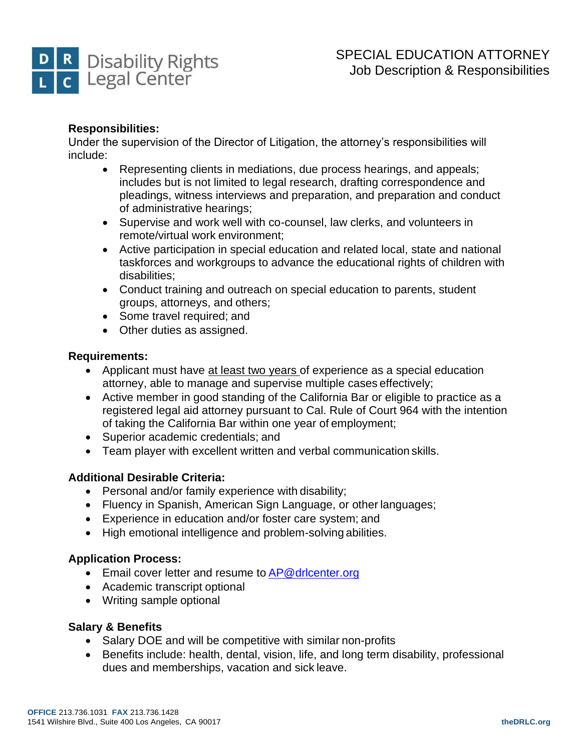

# **Responsibilities:**

Under the supervision of the Director of Litigation, the attorney's responsibilities will include:

- Representing clients in mediations, due process hearings, and appeals; includes but is not limited to legal research, drafting correspondence and pleadings, witness interviews and preparation, and preparation and conduct of administrative hearings;
- Supervise and work well with co-counsel, law clerks, and volunteers in remote/virtual work environment;
- Active participation in special education and related local, state and national taskforces and workgroups to advance the educational rights of children with disabilities;
- Conduct training and outreach on special education to parents, student groups, attorneys, and others;
- Some travel required; and
- Other duties as assigned.

# **Requirements:**

- Applicant must have at least two years of experience as a special education attorney, able to manage and supervise multiple cases effectively;
- Active member in good standing of the California Bar or eligible to practice as a registered legal aid attorney pursuant to Cal. Rule of Court 964 with the intention of taking the California Bar within one year of employment;
- Superior academic credentials; and
- Team player with excellent written and verbal communication skills.

# **Additional Desirable Criteria:**

- Personal and/or family experience with disability;
- Fluency in Spanish, American Sign Language, or other languages;
- Experience in education and/or foster care system; and
- High emotional intelligence and problem-solving abilities.

# **Application Process:**

- Email cover letter and resume to [AP@drlcenter.org](mailto:AP@drlcenter.org)
- Academic transcript optional
- Writing sample optional

# **Salary & Benefits**

- Salary DOE and will be competitive with similar non-profits
- Benefits include: health, dental, vision, life, and long term disability, professional dues and memberships, vacation and sick leave.